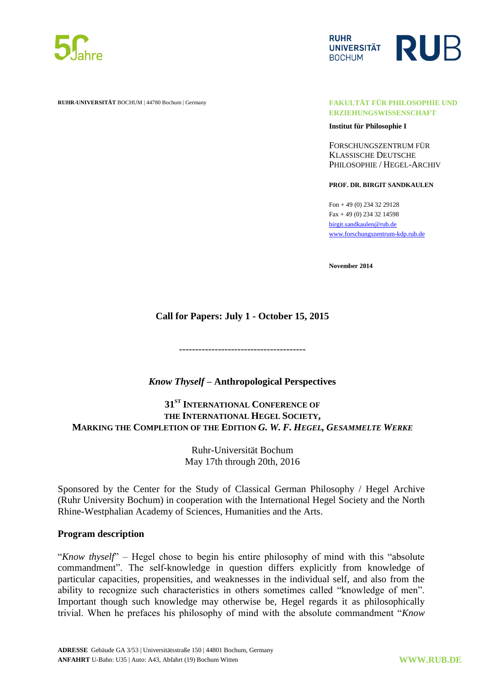



**RUHR-UNIVERSITÄT** BOCHUM | 44780 Bochum | Germany **FAKULTÄT FÜR PHILOSOPHIE UND**

**ERZIEHUNGSWISSENSCHAFT**

**Institut für Philosophie I**

FORSCHUNGSZENTRUM FÜR KLASSISCHE DEUTSCHE PHILOSOPHIE / HEGEL-ARCHIV

**PROF. DR. BIRGIT SANDKAULEN**

Fon + 49 (0) 234 32 29128 Fax + 49 (0) 234 32 14598 [birgit.sandkaulen@rub.de](mailto:birgit.sandkaulen@rub.de) [www.forschungszentrum-kdp.rub.de](http://www.forschungszentrum-kdp.rub.de/)

**November 2014**

## **Call for Papers: July 1 - October 15, 2015**

---------------------------------------

### *Know Thyself* **– Anthropological Perspectives**

**31ST INTERNATIONAL CONFERENCE OF THE INTERNATIONAL HEGEL SOCIETY, MARKING THE COMPLETION OF THE EDITION** *G. W. F. HEGEL, GESAMMELTE WERKE*

> Ruhr-Universität Bochum May 17th through 20th, 2016

Sponsored by the Center for the Study of Classical German Philosophy / Hegel Archive (Ruhr University Bochum) in cooperation with the [International Hegel](http://www.hegel-gesellschaft.de/) Society and the [North](http://www.awk.nrw.de/)  [Rhine-Westphalian Academy of Sciences, Humanities and the Arts.](http://www.awk.nrw.de/)

#### **Program description**

"*Know thyself*" – Hegel chose to begin his entire philosophy of mind with this "absolute" commandment". The self-knowledge in question differs explicitly from knowledge of particular capacities, propensities, and weaknesses in the individual self, and also from the ability to recognize such characteristics in others sometimes called "knowledge of men". Important though such knowledge may otherwise be, Hegel regards it as philosophically trivial. When he prefaces his philosophy of mind with the absolute commandment ―*Know*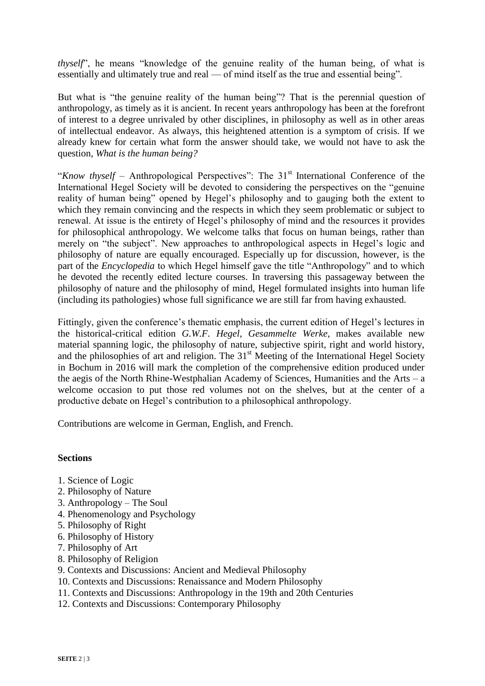*thyself*<sup>'</sup>, he means "knowledge of the genuine reality of the human being, of what is essentially and ultimately true and real — of mind itself as the true and essential being".

But what is "the genuine reality of the human being"? That is the perennial question of anthropology, as timely as it is ancient. In recent years anthropology has been at the forefront of interest to a degree unrivaled by other disciplines, in philosophy as well as in other areas of intellectual endeavor. As always, this heightened attention is a symptom of crisis. If we already knew for certain what form the answer should take, we would not have to ask the question, *What is the human being?*

"*Know thyself* – Anthropological Perspectives": The 31<sup>st</sup> International Conference of the International Hegel Society will be devoted to considering the perspectives on the "genuine" reality of human being" opened by Hegel's philosophy and to gauging both the extent to which they remain convincing and the respects in which they seem problematic or subject to renewal. At issue is the entirety of Hegel's philosophy of mind and the resources it provides for philosophical anthropology. We welcome talks that focus on human beings, rather than merely on "the subject". New approaches to anthropological aspects in Hegel's logic and philosophy of nature are equally encouraged. Especially up for discussion, however, is the part of the *Encyclopedia* to which Hegel himself gave the title "Anthropology" and to which he devoted the recently edited lecture courses. In traversing this passageway between the philosophy of nature and the philosophy of mind, Hegel formulated insights into human life (including its pathologies) whose full significance we are still far from having exhausted.

Fittingly, given the conference's thematic emphasis, the current edition of Hegel's lectures in the historical-critical edition *G.W.F. Hegel, Gesammelte Werke*, makes available new material spanning logic, the philosophy of nature, subjective spirit, right and world history, and the philosophies of art and religion. The  $31<sup>st</sup>$  Meeting of the International Hegel Society in Bochum in 2016 will mark the completion of the comprehensive edition produced under the aegis of the North Rhine-Westphalian Academy of Sciences, Humanities and the Arts – a welcome occasion to put those red volumes not on the shelves, but at the center of a productive debate on Hegel's contribution to a philosophical anthropology.

Contributions are welcome in German, English, and French.

### **Sections**

- 1. Science of Logic
- 2. Philosophy of Nature
- 3. Anthropology The Soul
- 4. Phenomenology and Psychology
- 5. Philosophy of Right
- 6. Philosophy of History
- 7. Philosophy of Art
- 8. Philosophy of Religion
- 9. Contexts and Discussions: Ancient and Medieval Philosophy
- 10. Contexts and Discussions: Renaissance and Modern Philosophy
- 11. Contexts and Discussions: Anthropology in the 19th and 20th Centuries
- 12. Contexts and Discussions: Contemporary Philosophy